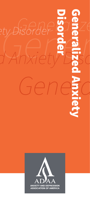# Entry Disorder Brand<br>*Anxiety* Desc ety Disorder<sup>1</sup>9726 *Generalized Anxiety Disord* **Generalized Analysis**

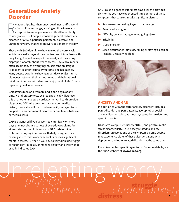## Generalized Anxiety Disorder

elationships, health, money, deadlines, traffic, world<br>affairs, climate change, arriving on time to work or<br>an appointment — you name it. We all have plenty<br>to worry about. But people who have generalized anxiety affairs, climate change, arriving on time to work or an appointment — you name it. We all have plenty to worry about. But people who have generalized anxiety disorder, or GAD, experience persistent, excessive, and unrelenting worry that goes on every day, most of the day.

Those with GAD don't know how to stop the worry cycle, which they feel is beyond their control, and it interferes with daily living. They often expect the worst, and they worry disproportionately about real concerns. Physical ailments often accompany the worrying: muscle tension, fatigue, irritability, gastrointestinal symptoms, and headaches. Many people experience having repetitive circular internal dialogues between their anxious mind and their rational mind that interfere with sleep and enjoyment of life. Others repeatedly seek reassurance.

GAD affects men and women, and it can begin at any time. No laboratory tests exist to specifically diagnose this or another anxiety disorder. A mental health provider diagnosing GAD asks questions about your medical history. He or she will try to determine if your symptoms are part of another mental disorder or due to a substance or medical issue.

GAD is diagnosed if you've worried chronically on more days than not about a variety of everyday problems for at least six months. A diagnosis of GAD is determined if chronic worrying interferes with daily living, such as causing you to miss work or school or causes significant mental distress. Further, if you have a very difficult struggle to regain control, relax, or manage anxiety and worry, that usually indicates GAD.

GAD is also diagnosed if for most days over the previous six months you have experienced three or more of these symptoms that cause clinically significant distress:

- Restlessness or feeling keyed up or on edge
- Being easily fatigued
- Difficulty concentrating or mind going blank
- ▶ Irritability
- **Muscle tension**
- $\blacktriangleright$  Sleep disturbance (difficulty falling or staying asleep or restless, unsatisfying sleep)



#### **ANXIETY AND GAD**

In addition to GAD, the term "anxiety disorder" includes panic disorder and panic attacks, agoraphobia, social anxiety disorder, selective mutism, separation anxiety, and specific phobias.

Obsessive-compulsive disorder (OCD) and posttraumatic stress disorder (PTSD) are closely related to anxiety disorders; anxiety is one of the symptoms. Some people may experience either of these disorders along with depression and other related disorders at the same time.

Each disorder has specific symptoms. For more details, visit the ADAA website at **[www.adaa.org](http://www.adaa.org)**.

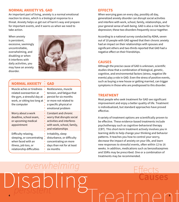#### **NORMAL ANXIETY VS. GAD**

An important part of living, anxiety is a normal emotional reaction to stress, which is a biological response to a threat. Anxiety helps us get out of harm's way and prepare for important events, and it warns us when we need to take action.

When anxiety is persistent, excessive, seemingly uncontrollable, overwhelming, and disabling or when it interferes with daily activities, you may have an anxiety disorder.



| <b>NORMAL ANXIETY</b>                                                                                                               | <b>GAD</b>                                                                                                                                           |
|-------------------------------------------------------------------------------------------------------------------------------------|------------------------------------------------------------------------------------------------------------------------------------------------------|
| Muscle aches or tiredness<br>related overexertion at<br>the gym, a stressful day at<br>work, or sitting too long at<br>the computer | Restlessness, muscle<br>tension, and fatigue that<br>persist for six months<br>or more not related to<br>a specific physical or<br>emotional problem |
| Worry about a work<br>deadline, school exam,<br>or upcoming medical<br>appointment                                                  | Constant and chronic<br>worry that disrupts social<br>activities and interferes<br>with work, school, family,<br>and relationships                   |
| Difficulty relaxing,<br>sleeping, or concentrating<br>when faced with an<br>illness, job loss, or<br>relationship difficulties      | Irritability, sleep<br>disturbance, or difficulty<br>concentrating on more<br>days than not for at least<br>six months                               |

#### **EFFECTS**

When worrying goes on every day, possibly all day, generalized anxiety disorder can disrupt social activities and interfere with work, school, family, relationships, and your general sense of well-being. GAD is also a risk factor for depression; these two disorders frequently occur together.

According to a national survey conducted by ADAA, seven out of 10 people with GAD agreed that their chronic anxiety had an impact on their relationships with spouses and significant others and two-thirds reported that GAD had a negative effect on their friendships.

#### **CAUSES**

Although the precise cause of GAD is unknown, scientific studies show that a combination of biological, genetic, cognitive, and environmental factors (stress, negative life events) play a role in GAD. Even the stress of positive events, such as buying a new house or getting married, can trigger symptoms in those who are predisposed to this disorder.

#### **TREATMENT**

Most people who seek treatment for GAD see significant improvement and enjoy a better quality of life. Treatment is individualized, but standard approaches have proved effective.

A variety of treatment options are scientifically proven to be effective. These evidence-based treatments include psychotherapy such as cognitive-behavioral therapy (CBT). This short-term treatment actively involves you in learning skills to help change your thinking and behavior patterns. It teaches you how to control your worry, decrease the impact of anxiety on your life, and learn new responses to stressful events, often within 12 to 16 weeks. In addition, medications such as benzodiazepines and SSRIs may be prescribed. One or a combination of treatments may be recommended.

**4 5 Causes** Treatment Disabling *persistent overwhelming*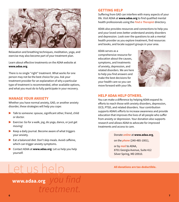

Relaxation and breathing techniques, meditation, yoga, and exercise may also become part of your treatment plan.

Learn about effective treatments on the ADAA website at **[www.adaa.org](http://www.adaa.org)**.

There is no single "right" treatment. What works for one person may not be the best choice for you. Ask your treatment provider for an explanation of why a particular type of treatment is recommended, other available options, and what you must do to fully participate in your recovery.

#### **MANAGE YOUR ANXIETY**

Whether you have normal anxiety, GAD, or another anxiety disorder, these strategies will help you cope:

- $\blacktriangleright$  Talk to someone: spouse, significant other, friend, child or doctor.
- $\blacktriangleright$  Exercise: Go for a walk, jog, do yoga, dance, or just get moving!
- $\blacktriangleright$  Keep a daily journal. Become aware of what triggers your anxiety.
- $\blacktriangleright$  Eat a balanced diet. Don't skip meals. Avoid caffeine, which can trigger anxiety symptoms.
- ▶ Contact ADAA at **[www.adaa.org](http://www.adaa.org)**: Let us help you help yourself.

Let us help

*treatment.*

#### **GETTING HELP**

Suffering from GAD can interfere with many aspects of your life. Visit ADAA at **[www.adaa.org](http://www.adaa.org)** to find qualified mental health professionals using the *Find a Therapist* directory.

ADAA also provides resources and connections to help you and your loved ones better understand anxiety disorders and depression. Look over the questions to ask a mental health provider as you explore treatment, find resources and books, and locate support groups in your area.

ADAA serves as a

comprehensive resource for education about the causes, symptoms, and treatments of anxiety, depression, and related disorders. We are here to help you find answers and make the best decisions for your health care so you can move forward with your life.



#### **HELP ADAA HELP OTHERS.**

You can make a difference by helping ADAA expand its efforts to reach those with anxiety disorders, depression, OCD, PTSD, and related disorders. Your contribution supports ADAA's efforts to increase awareness and provide education that improves the lives of all people who suffer from anxiety or depression. Your donation also supports research and allows ADAA to advocate for improved treatments and access to care.

#### Donate *online* at **[www.adaa.org](http://www.adaa.org)**,

on the *phone* (240-485-1001),

or by *mail* to ADAA, 8701 Georgia Avenue, Suite 412 Silver Spring, MD 20910.

All donations are tax-deductible.

# [www.adaa.org](http://www.adaa.org) you find